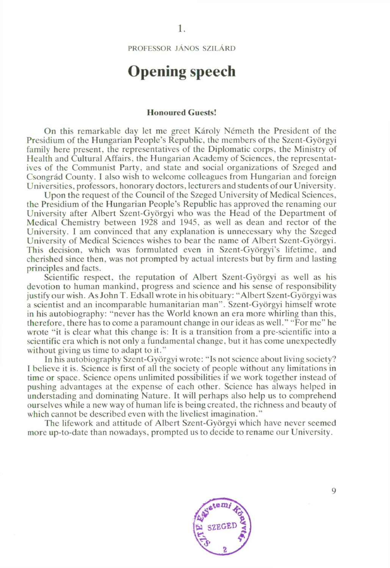PROFESSOR JÁNOS SZILÁRD

## **Opening speech**

## **Honoured Guests!**

On this remarkable day let me greet Károly Németh the President of the Presidium of the Hungarian People's Republic, the members of the Szent-Györgyi family here present, the representatives of the Diplomatic corps, the Ministry of Health and Cultural Affairs, the Hungarian Academy of Sciences, the representatives of the Communist Party, and state and social organizations of Szeged and Csongrád County. I also wish to welcome colleagues from Hungarian and foreign Universities, professors, honorary doctors, lecturers and students of our University.

Upon the request of the Council of the Szeged University of Medical Sciences, the Presidium of the Hungarian People's Republic has approved the renaming our University after Albert Szent-Györgyi who was the Head of the Department of Medical Chemistry between 1928 and 1945, as well as dean and rector of the University. I am convinced that any explanation is unnecessary why the Szeged University of Medical Sciences wishes to bear the name of Albert Szent-Györgyi. This decision, which was formulated even in Szent-Györgyi's lifetime, and cherished since then, was not prompted by actual interests but by firm and lasting principles and facts.

Scientific respect, the reputation of Albert Szent-Györgyi as well as his devotion to human mankind, progress and science and his sense of responsibility justify our wish. As John T. Edsall wrote in his obituary: "Albert Szent-Györgyi was a scientist and an incomparable humanitarian man". Szent-Györgyi himself wrote in his autobiography: "never has the World known an era more whirling than this, therefore, there has to come a paramount change in our ideas as well." "For me" he wrote "it is clear what this change is: It is a transition from a pre-scientific into a scientific era which is not only a fundamental change, but it has come unexpectedly without giving us time to adapt to it."

In his autobiography Szent-Györgyi wrote: "Is not science about living society? 1 believe it is. Science is first of all the society of people without any limitations in time or space. Science opens unlimited possibilities if we work together instead of pushing advantages at the expense of each other. Science has always helped in understading and dominating Nature. It will perhaps also help us to comprehend ourselves while a new way of human life is being created, the richness and beauty of which cannot be described even with the liveliest imagination."

The lifework and attitude of Albert Szent-Györgyi which have never seemed more up-to-date than nowadays, prompted us to decide to rename our University.



9